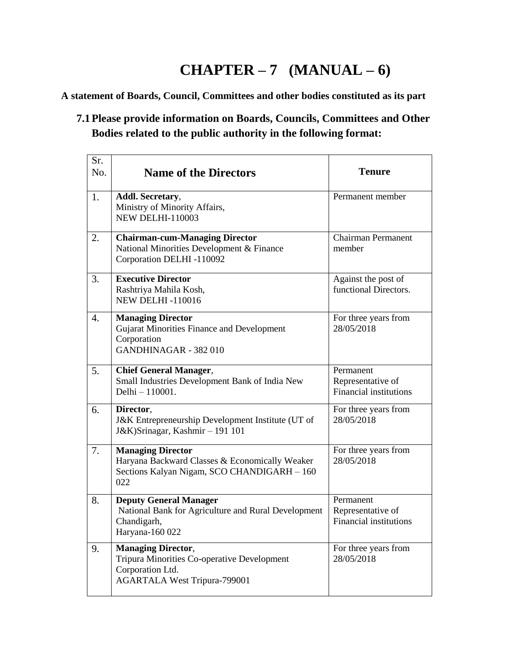## **CHAPTER – 7 (MANUAL – 6)**

**A statement of Boards, Council, Committees and other bodies constituted as its part**

## **7.1Please provide information on Boards, Councils, Committees and Other Bodies related to the public authority in the following format:**

| Sr.<br>No.       | <b>Name of the Directors</b>                                                                                                        | <b>Tenure</b>                                                   |
|------------------|-------------------------------------------------------------------------------------------------------------------------------------|-----------------------------------------------------------------|
| 1.               | Addl. Secretary,<br>Ministry of Minority Affairs,<br><b>NEW DELHI-110003</b>                                                        | Permanent member                                                |
| 2.               | <b>Chairman-cum-Managing Director</b><br>National Minorities Development & Finance<br>Corporation DELHI-110092                      | <b>Chairman Permanent</b><br>member                             |
| 3.               | <b>Executive Director</b><br>Rashtriya Mahila Kosh,<br><b>NEW DELHI-110016</b>                                                      | Against the post of<br>functional Directors.                    |
| $\overline{4}$ . | <b>Managing Director</b><br>Gujarat Minorities Finance and Development<br>Corporation<br>GANDHINAGAR - 382 010                      | For three years from<br>28/05/2018                              |
| 5.               | <b>Chief General Manager,</b><br>Small Industries Development Bank of India New<br>Delhi - 110001.                                  | Permanent<br>Representative of<br>Financial institutions        |
| 6.               | Director,<br>J&K Entrepreneurship Development Institute (UT of<br>J&K)Srinagar, Kashmir - 191 101                                   | For three years from<br>28/05/2018                              |
| 7.               | <b>Managing Director</b><br>Haryana Backward Classes & Economically Weaker<br>Sections Kalyan Nigam, SCO CHANDIGARH - 160<br>022    | For three years from<br>28/05/2018                              |
| 8.               | <b>Deputy General Manager</b><br>National Bank for Agriculture and Rural Development<br>Chandigarh,<br>Haryana-160 022              | Permanent<br>Representative of<br><b>Financial institutions</b> |
| 9.               | <b>Managing Director,</b><br>Tripura Minorities Co-operative Development<br>Corporation Ltd.<br><b>AGARTALA West Tripura-799001</b> | For three years from<br>28/05/2018                              |